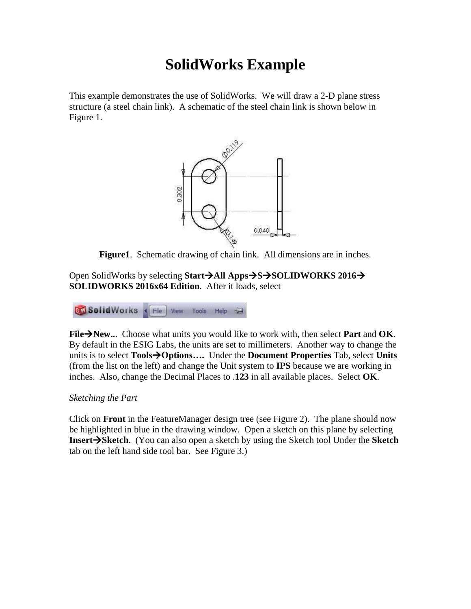# **SolidWorks Example**

This example demonstrates the use of SolidWorks. We will draw a 2-D plane stress structure (a steel chain link). A schematic of the steel chain link is shown below in Figure 1.



**Figure1**. Schematic drawing of chain link. All dimensions are in inches.

Open SolidWorks by selecting **StartAll AppsSSOLIDWORKS 2016 SOLIDWORKS 2016x64 Edition**. After it loads, select

**BM Solid Works** (File | View Tools Help

**FileNew..**. Choose what units you would like to work with, then select **Part** and **OK**. By default in the ESIG Labs, the units are set to millimeters. Another way to change the units is to select **ToolsOptions….** Under the **Document Properties** Tab, select **Units**  (from the list on the left) and change the Unit system to **IPS** because we are working in inches. Also, change the Decimal Places to .**123** in all available places. Select **OK**.

### *Sketching the Part*

Click on **Front** in the FeatureManager design tree (see Figure 2). The plane should now be highlighted in blue in the drawing window. Open a sketch on this plane by selecting **InsertSketch**. (You can also open a sketch by using the Sketch tool Under the **Sketch**  tab on the left hand side tool bar. See Figure 3.)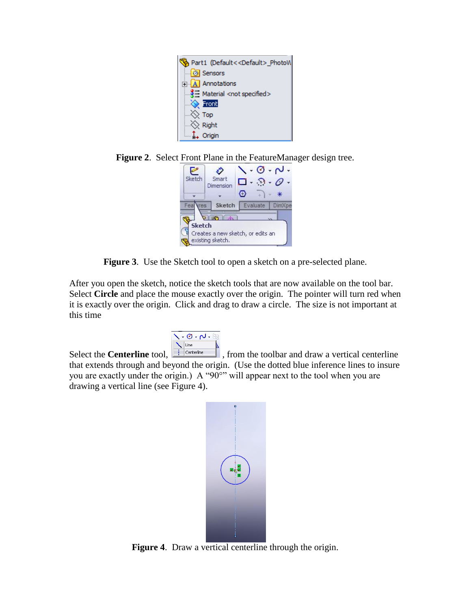

**Figure 2**. Select Front Plane in the FeatureManager design tree.

| Sketch        | Smart<br>Dimension            |                                   | $\sigma \cdot \mathsf{M}$<br>$\cdot$ 6<br>⋇ |
|---------------|-------------------------------|-----------------------------------|---------------------------------------------|
| Fea<br>es.    | Sketch                        | Evaluate                          | <b>DimXpe</b>                               |
| <b>Sketch</b> | <b>HO</b><br>existing sketch. | Creates a new sketch, or edits an |                                             |

**Figure 3**. Use the Sketch tool to open a sketch on a pre-selected plane.

After you open the sketch, notice the sketch tools that are now available on the tool bar. Select **Circle** and place the mouse exactly over the origin. The pointer will turn red when it is exactly over the origin. Click and drag to draw a circle. The size is not important at this time



Select the **Centerline** tool,  $\frac{\sum_{\text{line}}^{\text{line}}}{\sum_{\text{Centerline}}}$ , from the toolbar and draw a vertical centerline that extends through and beyond the origin. (Use the dotted blue inference lines to insure you are exactly under the origin.) A "90°" will appear next to the tool when you are drawing a vertical line (see Figure 4).



**Figure 4**. Draw a vertical centerline through the origin.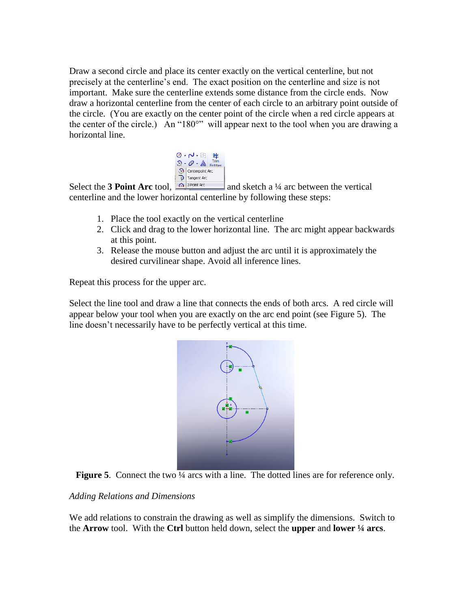Draw a second circle and place its center exactly on the vertical centerline, but not precisely at the centerline's end. The exact position on the centerline and size is not important. Make sure the centerline extends some distance from the circle ends. Now draw a horizontal centerline from the center of each circle to an arbitrary point outside of the circle. (You are exactly on the center point of the circle when a red circle appears at the center of the circle.) An "180°" will appear next to the tool when you are drawing a horizontal line.



Select the **3 Point Arc** tool,  $\boxed{\bigcap_{s \in \text{Poinr, Arc}}}$  and sketch a ¼ arc between the vertical centerline and the lower horizontal centerline by following these steps:

- 1. Place the tool exactly on the vertical centerline
- 2. Click and drag to the lower horizontal line. The arc might appear backwards at this point.
- 3. Release the mouse button and adjust the arc until it is approximately the desired curvilinear shape. Avoid all inference lines.

Repeat this process for the upper arc.

Select the line tool and draw a line that connects the ends of both arcs. A red circle will appear below your tool when you are exactly on the arc end point (see Figure 5). The line doesn't necessarily have to be perfectly vertical at this time.



**Figure 5**. Connect the two  $\frac{1}{4}$  arcs with a line. The dotted lines are for reference only.

### *Adding Relations and Dimensions*

We add relations to constrain the drawing as well as simplify the dimensions. Switch to the **Arrow** tool. With the **Ctrl** button held down, select the **upper** and **lower ¼ arcs**.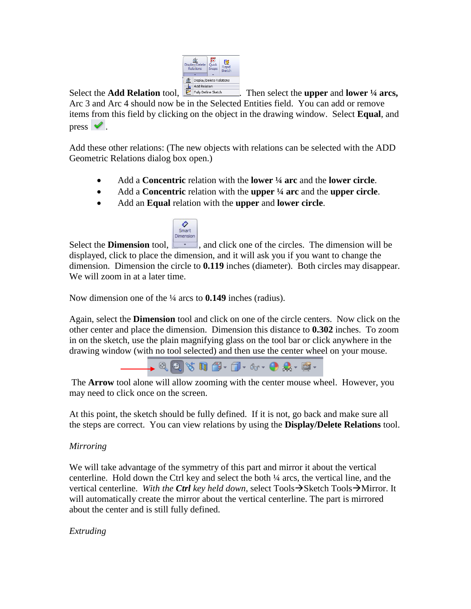

Select the **Add Relation** tool, . Then select the **upper** and **lower ¼ arcs,** Arc 3 and Arc 4 should now be in the Selected Entities field. You can add or remove items from this field by clicking on the object in the drawing window. Select **Equal**, and press  $\vee$ .

Add these other relations: (The new objects with relations can be selected with the ADD Geometric Relations dialog box open.)

- Add a **Concentric** relation with the **lower ¼ arc** and the **lower circle**.
- Add a **Concentric** relation with the **upper ¼ arc** and the **upper circle**.
- Add an **Equal** relation with the **upper** and **lower circle**.



Select the **Dimension** tool,  $\begin{bmatrix} \cdot \\ \cdot \\ \cdot \end{bmatrix}$ , and click one of the circles. The dimension will be displayed, click to place the dimension, and it will ask you if you want to change the dimension. Dimension the circle to **0.119** inches (diameter). Both circles may disappear. We will zoom in at a later time.

Now dimension one of the ¼ arcs to **0.149** inches (radius).

Again, select the **Dimension** tool and click on one of the circle centers. Now click on the other center and place the dimension. Dimension this distance to **0.302** inches. To zoom in on the sketch, use the plain magnifying glass on the tool bar or click anywhere in the drawing window (with no tool selected) and then use the center wheel on your mouse.



The **Arrow** tool alone will allow zooming with the center mouse wheel. However, you may need to click once on the screen.

At this point, the sketch should be fully defined. If it is not, go back and make sure all the steps are correct. You can view relations by using the **Display/Delete Relations** tool.

## *Mirroring*

We will take advantage of the symmetry of this part and mirror it about the vertical centerline. Hold down the Ctrl key and select the both ¼ arcs, the vertical line, and the vertical centerline. *With the Ctrl key held down*, select Tools $\rightarrow$ Sketch Tools $\rightarrow$ Mirror. It will automatically create the mirror about the vertical centerline. The part is mirrored about the center and is still fully defined.

*Extruding*